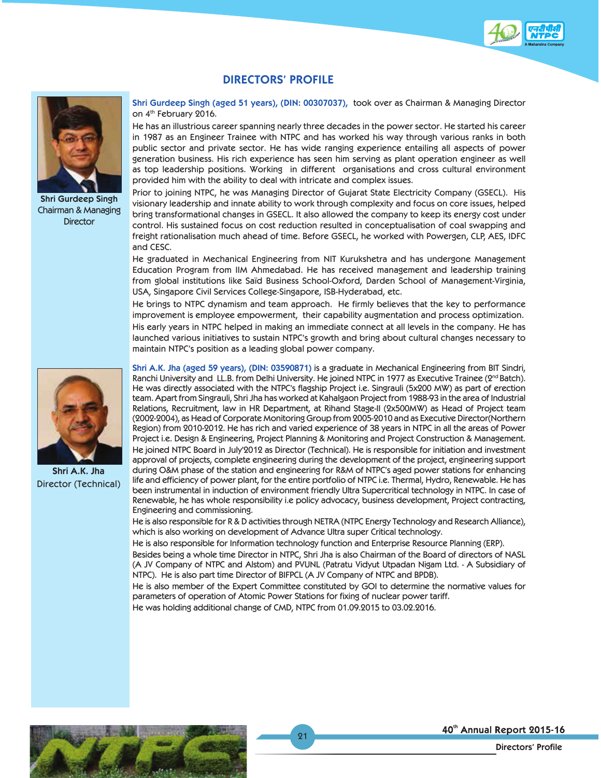

## **DIRECTORS' PROFILE**



**Shri Gurdeep Singh** Chairman & Managing **Director** 

**Shri A.K. Jha**  Director (Technical) **Shri Gurdeep Singh (aged 51 years), (DIN: 00307037),** took over as Chairman & Managing Director on 4<sup>th</sup> February 2016.

He has an illustrious career spanning nearly three decades in the power sector. He started his career in 1987 as an Engineer Trainee with NTPC and has worked his way through various ranks in both public sector and private sector. He has wide ranging experience entailing all aspects of power generation business. His rich experience has seen him serving as plant operation engineer as well as top leadership positions. Working in different organisations and cross cultural environment provided him with the ability to deal with intricate and complex issues.

Prior to joining NTPC, he was Managing Director of Gujarat State Electricity Company (GSECL). His visionary leadership and innate ability to work through complexity and focus on core issues, helped bring transformational changes in GSECL. It also allowed the company to keep its energy cost under control. His sustained focus on cost reduction resulted in conceptualisation of coal swapping and freight rationalisation much ahead of time. Before GSECL, he worked with Powergen, CLP, AES, IDFC and CESC.

He graduated in Mechanical Engineering from NIT Kurukshetra and has undergone Management Education Program from IIM Ahmedabad. He has received management and leadership training from global institutions like Saïd Business School-Oxford, Darden School of Management-Virginia, USA, Singapore Civil Services College-Singapore, ISB-Hyderabad, etc.

He brings to NTPC dynamism and team approach. He firmly believes that the key to performance improvement is employee empowerment, their capability augmentation and process optimization. His early years in NTPC helped in making an immediate connect at all levels in the company. He has launched various initiatives to sustain NTPC's growth and bring about cultural changes necessary to maintain NTPC's position as a leading global power company.

**Shri A.K. Jha (aged 59 years), (DIN: 03590871)** is a graduate in Mechanical Engineering from BIT Sindri, Ranchi University and LL.B. from Delhi University. He joined NTPC in 1977 as Executive Trainee (2<sup>nd</sup> Batch). He was directly associated with the NTPC's flagship Project i.e. Singrauli (5x200 MW) as part of erection team. Apart from Singrauli, Shri Jha has worked at Kahalgaon Project from 1988-93 in the area of Industrial Relations, Recruitment, law in HR Department, at Rihand Stage-II (2x500MW) as Head of Project team (2002-2004), as Head of Corporate Monitoring Group from 2005-2010 and as Executive Director(Northern Region) from 2010-2012. He has rich and varied experience of 38 years in NTPC in all the areas of Power Project i.e. Design & Engineering, Project Planning & Monitoring and Project Construction & Management. He joined NTPC Board in July'2012 as Director (Technical). He is responsible for initiation and investment approval of projects, complete engineering during the development of the project, engineering support during O&M phase of the station and engineering for R&M of NTPC's aged power stations for enhancing life and efficiency of power plant, for the entire portfolio of NTPC i.e. Thermal, Hydro, Renewable. He has been instrumental in induction of environment friendly Ultra Supercritical technology in NTPC. In case of Renewable, he has whole responsibility i.e policy advocacy, business development, Project contracting, Engineering and commissioning.

He is also responsible for R & D activities through NETRA (NTPC Energy Technology and Research Alliance), which is also working on development of Advance Ultra super Critical technology.

He is also responsible for Information technology function and Enterprise Resource Planning (ERP). Besides being a whole time Director in NTPC, Shri Jha is also Chairman of the Board of directors of NASL (A JV Company of NTPC and Alstom) and PVUNL (Patratu Vidyut Utpadan Nigam Ltd. - A Subsidiary of NTPC). He is also part time Director of BIFPCL (A JV Company of NTPC and BPDB).

He is also member of the Expert Committee constituted by GOI to determine the normative values for parameters of operation of Atomic Power Stations for fixing of nuclear power tariff.

He was holding additional change of CMD, NTPC from 01.09.2015 to 03.02.2016.

21



40th Annual Report 2015-16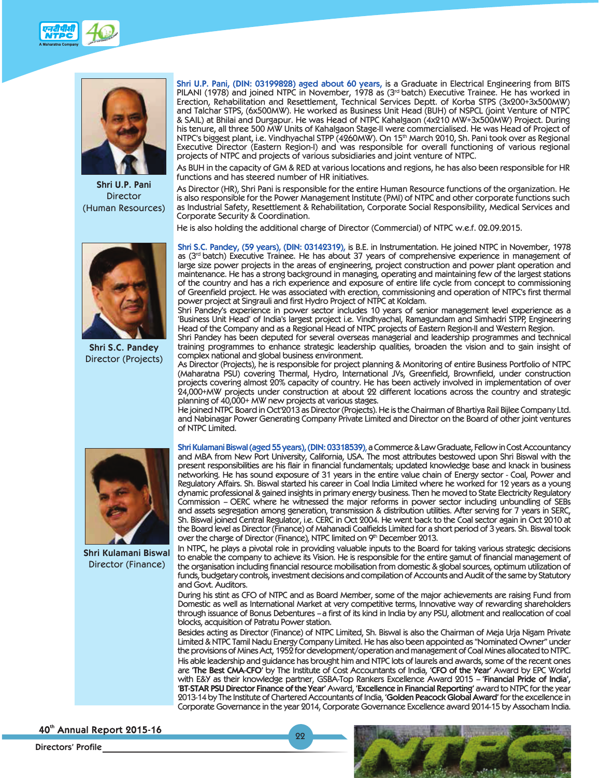



**Shri U.P. Pani** Director (Human Resources)



**Shri S.C. Pandey** Director (Projects)

**Shri U.P. Pani, (DIN: 03199828) aged about 60 years,** is a Graduate in Electrical Engineering from BITS PILANI (1978) and joined NTPC in November, 1978 as (3rd batch) Executive Trainee. He has worked in Erection, Rehabilitation and Resettlement, Technical Services Deptt. of Korba STPS (3x200+3x500MW) and Talchar STPS, (6x500MW). He worked as Business Unit Head (BUH) of NSPCL (joint Venture of NTPC & SAIL) at Bhilai and Durgapur. He was Head of NTPC Kahalgaon (4x210 MW+3x500MW) Project. During his tenure, all three 500 MW Units of Kahalgaon Stage-II were commercialised. He was Head of Project of NTPC's biggest plant, i.e. Vindhyachal STPP (4260MW). On 15<sup>th</sup> March 2010, Sh. Pani took over as Regional Executive Director (Eastern Region-I) and was responsible for overall functioning of various regional projects of NTPC and projects of various subsidiaries and joint venture of NTPC.

As BUH in the capacity of GM & RED at various locations and regions, he has also been responsible for HR functions and has steered number of HR initiatives.

As Director (HR), Shri Pani is responsible for the entire Human Resource functions of the organization. He is also responsible for the Power Management Institute (PMI) of NTPC and other corporate functions such as Industrial Safety, Resettlement & Rehabilitation, Corporate Social Responsibility, Medical Services and Corporate Security & Coordination.

He is also holding the additional charge of Director (Commercial) of NTPC w.e.f. 02.09.2015.

**Shri S.C. Pandey, (59 years), (DIN: 03142319),** is B.E. in Instrumentation. He joined NTPC in November, 1978 as (3<sup>rd</sup> batch) Executive Trainee. He has about 37 years of comprehensive experience in management of large size power projects in the areas of engineering, project construction and power plant operation and maintenance. He has a strong background in managing, operating and maintaining few of the largest stations of the country and has a rich experience and exposure of entire life cycle from concept to commissioning of Greenfield project. He was associated with erection, commissioning and operation of NTPC's first thermal power project at Singrauli and first Hydro Project of NTPC at Koldam.

Shri Pandey's experience in power sector includes 10 years of senior management level experience as a 'Business Unit Head' of India's largest project i.e. Vindhyachal, Ramagundam and Simhadri STPP, Engineering Head of the Company and as a Regional Head of NTPC projects of Eastern Region-II and Western Region.

Shri Pandey has been deputed for several overseas managerial and leadership programmes and technical training programmes to enhance strategic leadership qualities, broaden the vision and to gain insight of complex national and global business environment.

As Director (Projects), he is responsible for project planning & Monitoring of entire Business Portfolio of NTPC (Maharatna PSU) covering Thermal, Hydro, International JVs, Greenfield, Brownfield, under construction projects covering almost 20% capacity of country. He has been actively involved in implementation of over 24,000+MW projects under construction at about 22 different locations across the country and strategic planning of 40,000+ MW new projects at various stages.

He joined NTPC Board in Oct'2013 as Director (Projects). He is the Chairman of Bhartiya Rail Bijlee Company Ltd. and Nabinagar Power Generating Company Private Limited and Director on the Board of other joint ventures of NTPC Limited.

**Shri Kulamani Biswal (aged 55 years), (DIN: 03318539)**, a Commerce & Law Graduate, Fellow in Cost Accountancy and MBA from New Port University, California, USA. The most attributes bestowed upon Shri Biswal with the present responsibilities are his flair in financial fundamentals; updated knowledge base and knack in business networking. He has sound exposure of 31 years in the entire value chain of Energy sector - Coal, Power and Regulatory Affairs. Sh. Biswal started his career in Coal India Limited where he worked for 12 years as a young dynamic professional & gained insights in primary energy business. Then he moved to State Electricity Regulatory Commission – OERC where he witnessed the major reforms in power sector including unbundling of SEBs and assets segregation among generation, transmission & distribution utilities. After serving for 7 years in SERC, Sh. Biswal joined Central Regulator, i.e. CERC in Oct 2004. He went back to the Coal sector again in Oct 2010 at the Board level as Director (Finance) of Mahanadi Coalfields Limited for a short period of 3 years. Sh. Biswal took over the charge of Director (Finance), NTPC limited on 9th December 2013.

In NTPC, he plays a pivotal role in providing valuable inputs to the Board for taking various strategic decisions to enable the company to achieve its Vision. He is responsible for the entire gamut of financial management of the organisation including financial resource mobilisation from domestic & global sources, optimum utilization of funds, budgetary controls, investment decisions and compilation of Accounts and Audit of the same by Statutory and Govt. Auditors.

During his stint as CFO of NTPC and as Board Member, some of the major achievements are raising Fund from Domestic as well as International Market at very competitive terms, Innovative way of rewarding shareholders through issuance of Bonus Debentures – a first of its kind in India by any PSU, allotment and reallocation of coal blocks, acquisition of Patratu Power station.

Besides acting as Director (Finance) of NTPC Limited, Sh. Biswal is also the Chairman of Meja Urja Nigam Private Limited & NTPC Tamil Nadu Energy Company Limited. He has also been appointed as "Nominated Owner" under the provisions of Mines Act, 1952 for development/operation and management of Coal Mines allocated to NTPC. His able leadership and guidance has brought him and NTPC lots of laurels and awards, some of the recent ones are **'The Best CMA-CFO'** by The Institute of Cost Accountants of India, **'CFO of the Year'** Award by EPC World with E&Y as their knowledge partner, GSBA-Top Rankers Excellence Award 2015 – **'Financial Pride of India', 'BT-STAR PSU Director Finance of the Year'** Award, **'Excellence in Financial Reporting'** award to NTPC for the year 2013-14 by The Institute of Chartered Accountants of India, **'Golden Peacock Global Award'** for the excellence in Corporate Governance in the year 2014, Corporate Governance Excellence award 2014-15 by Assocham India.

22



**Shri Kulamani Biswal** Director (Finance)

40th Annual Report 2015-16

**Directors' Profile**

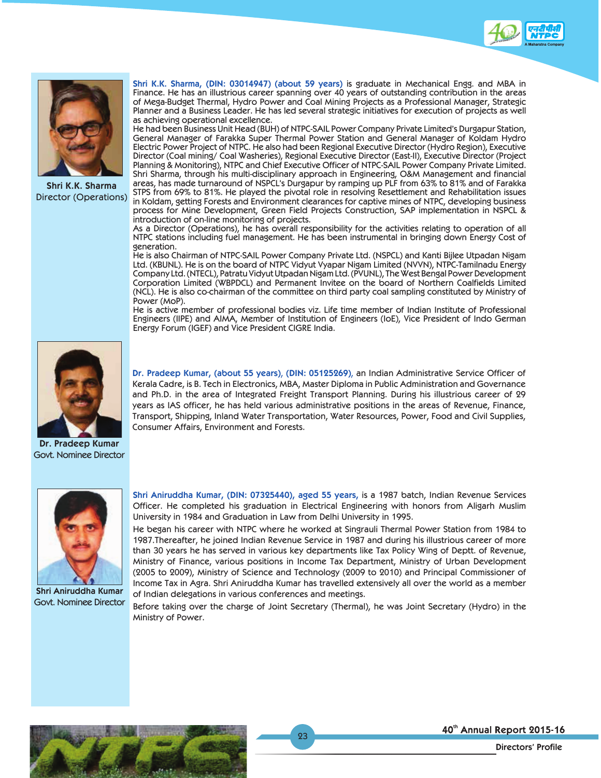



**Shri K.K. Sharma** Director (Operations)

**Shri K.K. Sharma, (DIN: 03014947) (about 59 years)** is graduate in Mechanical Engg. and MBA in Finance. He has an illustrious career spanning over 40 years of outstanding contribution in the areas of Mega-Budget Thermal, Hydro Power and Coal Mining Projects as a Professional Manager, Strategic Planner and a Business Leader. He has led several strategic initiatives for execution of projects as well as achieving operational excellence.

He had been Business Unit Head (BUH) of NTPC-SAIL Power Company Private Limited's Durgapur Station, General Manager of Farakka Super Thermal Power Station and General Manager of Koldam Hydro Electric Power Project of NTPC. He also had been Regional Executive Director (Hydro Region), Executive Director (Coal mining/ Coal Washeries), Regional Executive Director (East-II), Executive Director (Project Planning & Monitoring), NTPC and Chief Executive Officer of NTPC-SAIL Power Company Private Limited. Shri Sharma, through his multi-disciplinary approach in Engineering, O&M Management and financial areas, has made turnaround of NSPCL's Durgapur by ramping up PLF from 63% to 81% and of Farakka STPS from 69% to 81%. He played the pivotal role in resolving Resettlement and Rehabilitation issues in Koldam, getting Forests and Environment clearances for captive mines of NTPC, developing business process for Mine Development, Green Field Projects Construction, SAP implementation in NSPCL & introduction of on-line monitoring of projects.

As a Director (Operations), he has overall responsibility for the activities relating to operation of all NTPC stations including fuel management. He has been instrumental in bringing down Energy Cost of generation.

He is also Chairman of NTPC-SAIL Power Company Private Ltd. (NSPCL) and Kanti Bijlee Utpadan Nigam Ltd. (KBUNL). He is on the board of NTPC Vidyut Vyapar Nigam Limited (NVVN), NTPC-Tamilnadu Energy Company Ltd. (NTECL), Patratu Vidyut Utpadan Nigam Ltd. (PVUNL), The West Bengal Power Development Corporation Limited (WBPDCL) and Permanent Invitee on the board of Northern Coalfields Limited (NCL). He is also co-chairman of the committee on third party coal sampling constituted by Ministry of Power (MoP).

He is active member of professional bodies viz. Life time member of Indian Institute of Professional Engineers (IIPE) and AIMA, Member of Institution of Engineers (IoE), Vice President of Indo German Energy Forum (IGEF) and Vice President CIGRE India.



**Dr. Pradeep Kumar** Govt. Nominee Director

**Dr. Pradeep Kumar, (about 55 years)**, **(DIN: 05125269)**, an Indian Administrative Service Officer of Kerala Cadre, is B. Tech in Electronics, MBA, Master Diploma in Public Administration and Governance and Ph.D. in the area of Integrated Freight Transport Planning. During his illustrious career of 29 years as IAS officer, he has held various administrative positions in the areas of Revenue, Finance, Transport, Shipping, Inland Water Transportation, Water Resources, Power, Food and Civil Supplies, Consumer Affairs, Environment and Forests.



**Shri Aniruddha Kumar** Govt. Nominee Director

**Shri Aniruddha Kumar, (DIN: 07325440), aged 55 years,** is a 1987 batch, Indian Revenue Services Officer. He completed his graduation in Electrical Engineering with honors from Aligarh Muslim University in 1984 and Graduation in Law from Delhi University in 1995.

He began his career with NTPC where he worked at Singrauli Thermal Power Station from 1984 to 1987.Thereafter, he joined Indian Revenue Service in 1987 and during his illustrious career of more than 30 years he has served in various key departments like Tax Policy Wing of Deptt. of Revenue, Ministry of Finance, various positions in Income Tax Department, Ministry of Urban Development (2005 to 2009), Ministry of Science and Technology (2009 to 2010) and Principal Commissioner of Income Tax in Agra. Shri Aniruddha Kumar has travelled extensively all over the world as a member of Indian delegations in various conferences and meetings.

Before taking over the charge of Joint Secretary (Thermal), he was Joint Secretary (Hydro) in the Ministry of Power.

23